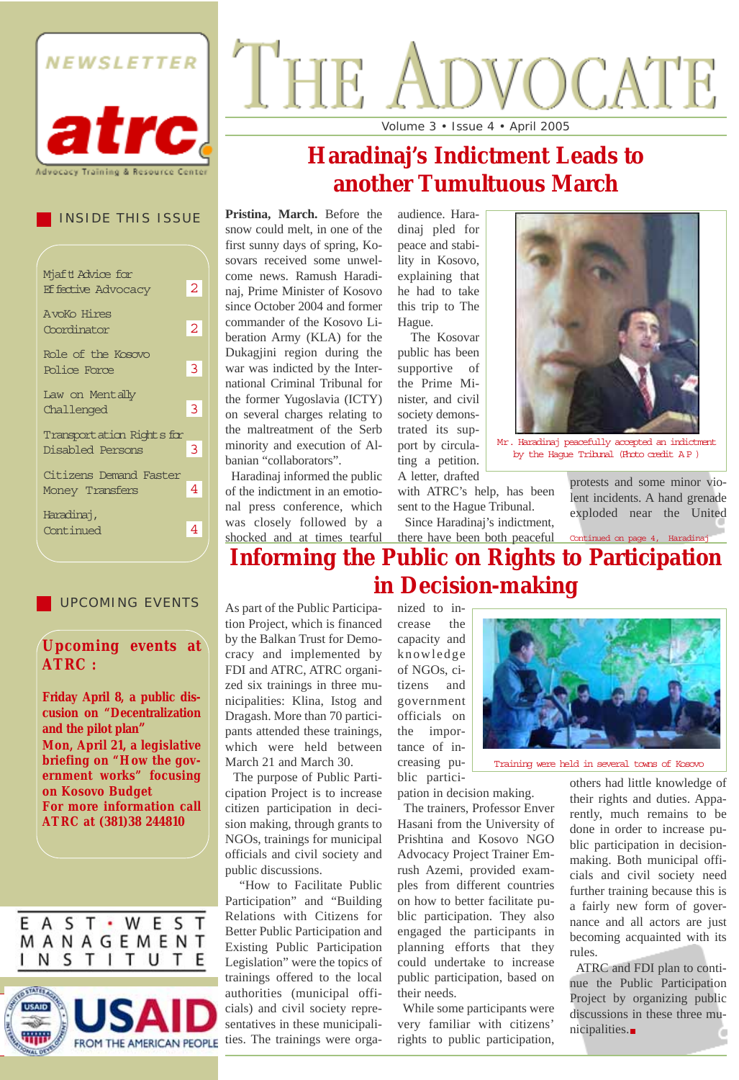

#### INSIDE THIS ISSUE

| Mjaft Advice for          |    |
|---------------------------|----|
| <b>Effective Advocacy</b> | 2. |
| <b>AvoKo Hires</b>        |    |
| Coordinator               | 2  |
| Role of the Kosovo        |    |
| Police Force              | 3  |
| Law on Mentally           |    |
| Challenged                | 3  |
| Transportation Rights for |    |
| Disabled Persons          | 3  |
| Citizens Demand Faster    |    |
| Money Transfers           | 4  |
| Haradinaj,                |    |
| Continued                 | 4  |
|                           |    |

#### UPCOMING EVENTS

#### **Upcoming events at ATRC :**

**Friday April 8, a public discusion on "Decentralization and the pilot plan" Mon, April 21, a legislative briefing on "How the government works" focusing on Kosovo Budget For more information call ATRC at (381)38 244810** 

E A S T · W E S T MANAGEMENT NSTITUTE



# THE VOCATE

Volume 3 • Issue 4 • April 2005

# **Haradinaj's Indictment Leads to another Tumultuous March**

**Pristina, March.** Before the snow could melt, in one of the first sunny days of spring, Kosovars received some unwelcome news. Ramush Haradinaj, Prime Minister of Kosovo since October 2004 and former commander of the Kosovo Liberation Army (KLA) for the Dukagjini region during the war was indicted by the International Criminal Tribunal for the former Yugoslavia (ICTY) on several charges relating to the maltreatment of the Serb minority and execution of Albanian "collaborators".

Haradinaj informed the public of the indictment in an emotional press conference, which was closely followed by a shocked and at times tearful there have been both peaceful

audience. Haradinaj pled for peace and stability in Kosovo, explaining that he had to take this trip to The Hague.

The Kosovar public has been supportive of the Prime Minister, and civil society demonstrated its support by circulating a petition. A letter, drafted



Mr. Haradinaj peacefully accepted an indictment by the Hague Tribunal (Photo credit A P )

with ATRC's help, has been

protests and some minor violent incidents. A hand grenade exploded near the United

#### sent to the Hague Tribunal. Since Haradinaj's indictment,

### **Informing the Public on Rights to Participation in Decision-making** Continued on page 4, Haradin

As part of the Public Participation Project, which is financed by the Balkan Trust for Democracy and implemented by FDI and ATRC, ATRC organized six trainings in three municipalities: Klina, Istog and Dragash. More than 70 participants attended these trainings, which were held between March 21 and March 30.

The purpose of Public Participation Project is to increase citizen participation in decision making, through grants to NGOs, trainings for municipal officials and civil society and public discussions.

"How to Facilitate Public Participation" and "Building Relations with Citizens for Better Public Participation and Existing Public Participation Legislation" were the topics of trainings offered to the local authorities (municipal officials) and civil society representatives in these municipalities. The trainings were organized to increase the capacity and knowledge of NGOs, citizens and government officials on the importance of increasing public partici-



Training were held in several towns of Kosovo

pation in decision making. The trainers, Professor Enver Hasani from the University of Prishtina and Kosovo NGO Advocacy Project Trainer Emrush Azemi, provided examples from different countries on how to better facilitate public participation. They also engaged the participants in planning efforts that they could undertake to increase public participation, based on their needs.

While some participants were very familiar with citizens' rights to public participation, others had little knowledge of their rights and duties. Apparently, much remains to be done in order to increase public participation in decisionmaking. Both municipal officials and civil society need further training because this is a fairly new form of governance and all actors are just becoming acquainted with its rules.

ATRC and FDI plan to continue the Public Participation Project by organizing public discussions in these three municipalities.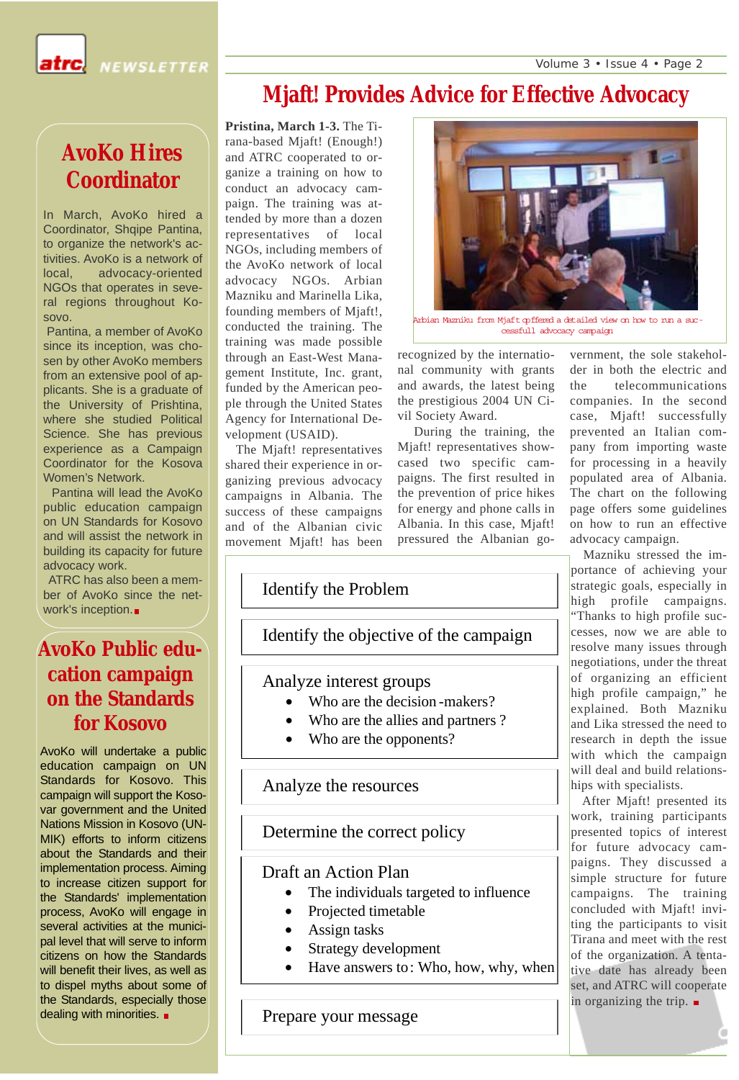Volume 3 • Issue 4 • Page 2



**NEWSLETTER** 

# **Mjaft! Provides Advice for Effective Advocacy**

# **AvoKo Hires Coordinator**

In March, AvoKo hired a Coordinator, Shqipe Pantina, to organize the network's activities. AvoKo is a network of local, advocacy-oriented NGOs that operates in several regions throughout Kosovo.

Pantina, a member of AvoKo since its inception, was chosen by other AvoKo members from an extensive pool of applicants. She is a graduate of the University of Prishtina, where she studied Political Science. She has previous experience as a Campaign Coordinator for the Kosova Women's Network.

Pantina will lead the AvoKo public education campaign on UN Standards for Kosovo and will assist the network in building its capacity for future advocacy work.

ATRC has also been a member of AvoKo since the network's inception.

### **AvoKo Public education campaign on the Standards for Kosovo**

AvoKo will undertake a public education campaign on UN Standards for Kosovo. This campaign will support the Kosovar government and the United Nations Mission in Kosovo (UN-MIK) efforts to inform citizens about the Standards and their implementation process. Aiming to increase citizen support for the Standards' implementation process, AvoKo will engage in several activities at the municipal level that will serve to inform citizens on how the Standards will benefit their lives, as well as to dispel myths about some of the Standards, especially those dealing with minorities.  $\blacksquare$ 

**Pristina, March 1-3.** The Tirana-based Mjaft! (Enough!) and ATRC cooperated to organize a training on how to conduct an advocacy campaign. The training was attended by more than a dozen representatives of local NGOs, including members of the AvoKo network of local advocacy NGOs. Arbian Mazniku and Marinella Lika, founding members of Mjaft!, conducted the training. The training was made possible through an East-West Management Institute, Inc. grant, funded by the American people through the United States Agency for International Development (USAID).

The Mjaft! representatives shared their experience in organizing previous advocacy campaigns in Albania. The success of these campaigns and of the Albanian civic movement Mjaft! has been



Arbian Mazniku from Mjaft opffered a detailed view on how to run a successfull advocacy campaign

recognized by the international community with grants and awards, the latest being the prestigious 2004 UN Civil Society Award.

During the training, the Mjaft! representatives showcased two specific campaigns. The first resulted in the prevention of price hikes for energy and phone calls in Albania. In this case, Mjaft! pressured the Albanian go-

vernment, the sole stakeholder in both the electric and the telecommunications companies. In the second case, Mjaft! successfully prevented an Italian company from importing waste for processing in a heavily populated area of Albania. The chart on the following page offers some guidelines on how to run an effective advocacy campaign.

Mazniku stressed the importance of achieving your strategic goals, especially in high profile campaigns. "Thanks to high profile successes, now we are able to resolve many issues through negotiations, under the threat of organizing an efficient high profile campaign," he explained. Both Mazniku and Lika stressed the need to research in depth the issue with which the campaign will deal and build relationships with specialists.

After Mjaft! presented its work, training participants presented topics of interest for future advocacy campaigns. They discussed a simple structure for future campaigns. The training concluded with Mjaft! inviting the participants to visit Tirana and meet with the rest of the organization. A tentative date has already been set, and ATRC will cooperate in organizing the trip.  $\blacksquare$ 

### Identify the Problem

Identify the objective of the campaign

#### Analyze interest groups

- Who are the decision -makers?
- Who are the allies and partners ?
- Who are the opponents?

#### Analyze the resources

Determine the correct policy

#### Draft an Action Plan

- The individuals targeted to influence
- Projected timetable
- Assign tasks
- Strategy development
- Have answers to: Who, how, why, when

Prepare your message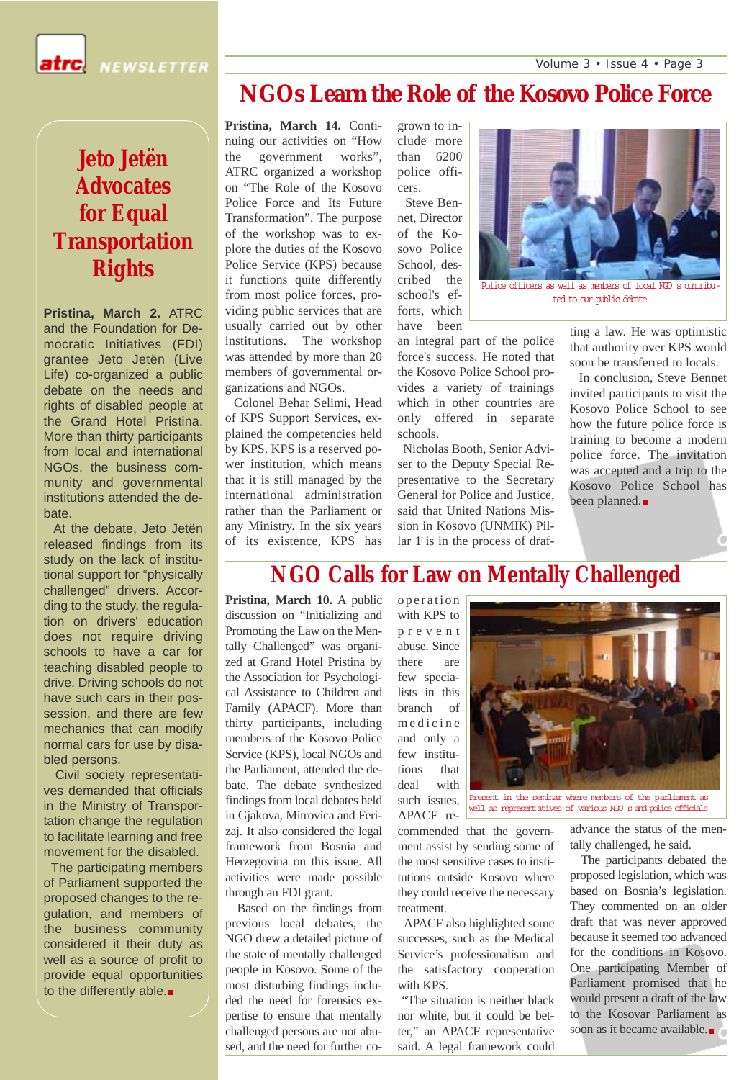

**NEWSLETTER** 

# **NGOs Learn the Role of the Kosovo Police Force**

**Pristina, March 14.** Continuing our activities on "How the government works", ATRC organized a workshop on "The Role of the Kosovo Police Force and Its Future Transformation". The purpose of the workshop was to explore the duties of the Kosovo Police Service (KPS) because it functions quite differently from most police forces, providing public services that are usually carried out by other institutions. The workshop was attended by more than 20 members of governmental organizations and NGOs.

Colonel Behar Selimi, Head of KPS Support Services, explained the competencies held by KPS. KPS is a reserved power institution, which means that it is still managed by the international administration rather than the Parliament or any Ministry. In the six years of its existence, KPS has

grown to include more than 6200 police officers.

Steve Bennet, Director of the Kosovo Police School, described the school's efforts, which have been



Police officers as well as members of local NGO s contributed to our public debate

an integral part of the police force's success. He noted that the Kosovo Police School provides a variety of trainings which in other countries are only offered in separate schools.

Nicholas Booth, Senior Adviser to the Deputy Special Representative to the Secretary General for Police and Justice, said that United Nations Mission in Kosovo (UNMIK) Pillar 1 is in the process of drafting a law. He was optimistic that authority over KPS would soon be transferred to locals.

In conclusion, Steve Bennet invited participants to visit the Kosovo Police School to see how the future police force is training to become a modern police force. The invitation was accepted and a trip to the Kosovo Police School has been planned.

### **NGO Calls for Law on Mentally Challenged**

**Pristina, March 10.** A public discussion on "Initializing and Promoting the Law on the Mentally Challenged" was organized at Grand Hotel Pristina by the Association for Psychological Assistance to Children and Family (APACF). More than thirty participants, including members of the Kosovo Police Service (KPS), local NGOs and the Parliament, attended the debate. The debate synthesized findings from local debates held in Gjakova, Mitrovica and Ferizaj. It also considered the legal framework from Bosnia and Herzegovina on this issue. All activities were made possible through an FDI grant.

Based on the findings from previous local debates, the NGO drew a detailed picture of the state of mentally challenged people in Kosovo. Some of the most disturbing findings included the need for forensics expertise to ensure that mentally challenged persons are not abused, and the need for further cooperation with KPS to prevent abuse. Since there are few specialists in this branch of medicine and only a few institutions that deal with such issues, APACF re-



Present in the seminar where members of the parliament as well as representatives of various NGO s and police officials

commended that the government assist by sending some of the most sensitive cases to institutions outside Kosovo where they could receive the necessary treatment.

APACF also highlighted some successes, such as the Medical Service's professionalism and the satisfactory cooperation with KPS.

"The situation is neither black nor white, but it could be better," an APACF representative said. A legal framework could

advance the status of the mentally challenged, he said.

The participants debated the proposed legislation, which was based on Bosnia's legislation. They commented on an older draft that was never approved because it seemed too advanced for the conditions in Kosovo. One participating Member of Parliament promised that he would present a draft of the law to the Kosovar Parliament as soon as it became available.

# **Jeto Jetën Advocates for Equal Transportation Rights**

**Pristina, March 2.** ATRC and the Foundation for Democratic Initiatives (FDI) grantee Jeto Jetën (Live Life) co-organized a public debate on the needs and rights of disabled people at the Grand Hotel Pristina. More than thirty participants from local and international NGOs, the business community and governmental institutions attended the debate.

At the debate, Jeto Jetën released findings from its study on the lack of institutional support for "physically challenged" drivers. According to the study, the regulation on drivers' education does not require driving schools to have a car for teaching disabled people to drive. Driving schools do not have such cars in their possession, and there are few mechanics that can modify normal cars for use by disabled persons.

Civil society representatives demanded that officials in the Ministry of Transportation change the regulation to facilitate learning and free movement for the disabled.

The participating members of Parliament supported the proposed changes to the regulation, and members of the business community considered it their duty as well as a source of profit to provide equal opportunities to the differently able.